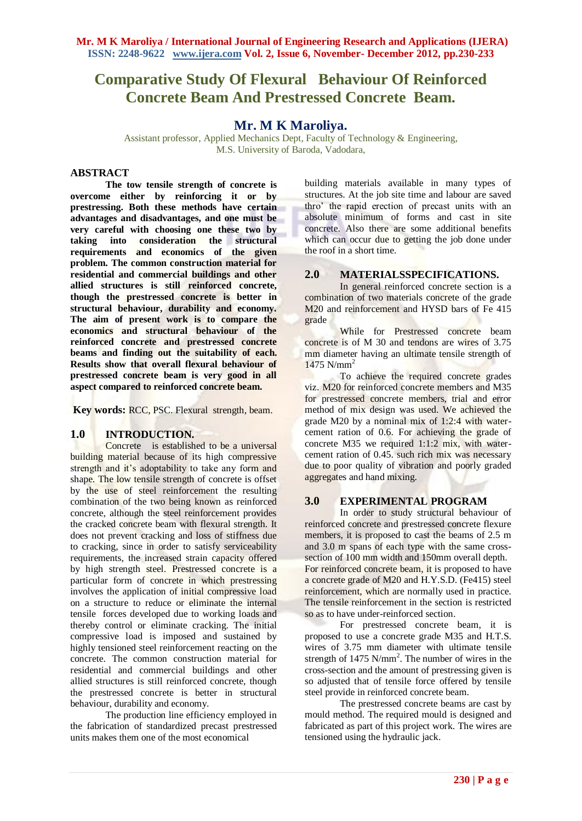# **Comparative Study Of Flexural Behaviour Of Reinforced Concrete Beam And Prestressed Concrete Beam.**

# **Mr. M K Maroliya.**

Assistant professor, Applied Mechanics Dept, Faculty of Technology & Engineering, M.S. University of Baroda, Vadodara,

#### **ABSTRACT**

**The tow tensile strength of concrete is overcome either by reinforcing it or by prestressing. Both these methods have certain advantages and disadvantages, and one must be very careful with choosing one these two by taking into consideration the structural requirements and economics of the given problem. The common construction material for residential and commercial buildings and other allied structures is still reinforced concrete, though the prestressed concrete is better in structural behaviour, durability and economy. The aim of present work is to compare the economics and structural behaviour of the reinforced concrete and prestressed concrete beams and finding out the suitability of each. Results show that overall flexural behaviour of prestressed concrete beam is very good in all aspect compared to reinforced concrete beam.**

**Key words:** RCC, PSC. Flexural strength, beam.

## **1.0 INTRODUCTION.**

Concrete is established to be a universal building material because of its high compressive strength and it's adoptability to take any form and shape. The low tensile strength of concrete is offset by the use of steel reinforcement the resulting combination of the two being known as reinforced concrete, although the steel reinforcement provides the cracked concrete beam with flexural strength. It does not prevent cracking and loss of stiffness due to cracking, since in order to satisfy serviceability requirements, the increased strain capacity offered by high strength steel. Prestressed concrete is a particular form of concrete in which prestressing involves the application of initial compressive load on a structure to reduce or eliminate the internal tensile forces developed due to working loads and thereby control or eliminate cracking. The initial compressive load is imposed and sustained by highly tensioned steel reinforcement reacting on the concrete. The common construction material for residential and commercial buildings and other allied structures is still reinforced concrete, though the prestressed concrete is better in structural behaviour, durability and economy.

The production line efficiency employed in the fabrication of standardized precast prestressed units makes them one of the most economical

building materials available in many types of structures. At the job site time and labour are saved thro' the rapid erection of precast units with an absolute minimum of forms and cast in site concrete. Also there are some additional benefits which can occur due to getting the job done under the roof in a short time.

# **2.0 MATERIALSSPECIFICATIONS.**

In general reinforced concrete section is a combination of two materials concrete of the grade M<sub>20</sub> and reinforcement and HYSD bars of Fe 415 grade

While for Prestressed concrete beam concrete is of M 30 and tendons are wires of 3.75 mm diameter having an ultimate tensile strength of  $1475$  N/mm<sup>2</sup>

To achieve the required concrete grades viz. M20 for reinforced concrete members and M35 for prestressed concrete members, trial and error method of mix design was used. We achieved the grade M20 by a nominal mix of 1:2:4 with watercement ration of 0.6. For achieving the grade of concrete M35 we required 1:1:2 mix, with watercement ration of 0.45. such rich mix was necessary due to poor quality of vibration and poorly graded aggregates and hand mixing.

## **3.0 EXPERIMENTAL PROGRAM**

In order to study structural behaviour of reinforced concrete and prestressed concrete flexure members, it is proposed to cast the beams of 2.5 m and 3.0 m spans of each type with the same crosssection of 100 mm width and 150mm overall depth. For reinforced concrete beam, it is proposed to have a concrete grade of M20 and H.Y.S.D. (Fe415) steel reinforcement, which are normally used in practice. The tensile reinforcement in the section is restricted so as to have under-reinforced section.

For prestressed concrete beam, it is proposed to use a concrete grade M35 and H.T.S. wires of 3.75 mm diameter with ultimate tensile strength of  $1475$  N/mm<sup>2</sup>. The number of wires in the cross-section and the amount of prestressing given is so adjusted that of tensile force offered by tensile steel provide in reinforced concrete beam.

The prestressed concrete beams are cast by mould method. The required mould is designed and fabricated as part of this project work. The wires are tensioned using the hydraulic jack.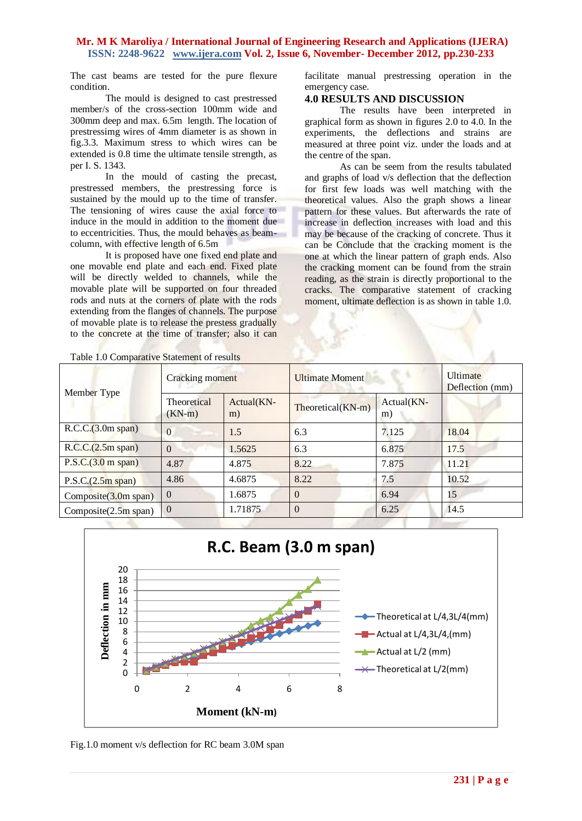The cast beams are tested for the pure flexure condition.

The mould is designed to cast prestressed member/s of the cross-section 100mm wide and 300mm deep and max. 6.5m length. The location of prestressimg wires of 4mm diameter is as shown in fig.3.3. Maximum stress to which wires can be extended is 0.8 time the ultimate tensile strength, as per I. S. 1343.

In the mould of casting the precast, prestressed members, the prestressing force is sustained by the mould up to the time of transfer. The tensioning of wires cause the axial force to induce in the mould in addition to the moment due to eccentricities. Thus, the mould behaves as beamcolumn, with effective length of 6.5m

It is proposed have one fixed end plate and one movable end plate and each end. Fixed plate will be directly welded to channels, while the movable plate will be supported on four threaded rods and nuts at the corners of plate with the rods extending from the flanges of channels. The purpose of movable plate is to release the prestess gradually to the concrete at the time of transfer; also it can

facilitate manual prestressing operation in the emergency case.

### **4.0 RESULTS AND DISCUSSION**

The results have been interpreted in graphical form as shown in figures 2.0 to 4.0. In the experiments, the deflections and strains are measured at three point viz. under the loads and at the centre of the span.

As can be seem from the results tabulated and graphs of load v/s deflection that the deflection for first few loads was well matching with the theoretical values. Also the graph shows a linear pattern for these values. But afterwards the rate of increase in deflection increases with load and this may be because of the cracking of concrete. Thus it can be Conclude that the cracking moment is the one at which the linear pattern of graph ends. Also the cracking moment can be found from the strain reading, as the strain is directly proportional to the cracks. The comparative statement of cracking moment, ultimate deflection is as shown in table 1.0.

| Table 1.0 Comparative Statement of results |  |
|--------------------------------------------|--|
|--------------------------------------------|--|

| Member Type             | Cracking moment         |                  | <b>Ultimate Moment</b> |                  | <b>Ultimate</b><br>Deflection (mm) |
|-------------------------|-------------------------|------------------|------------------------|------------------|------------------------------------|
|                         | Theoretical<br>$(KN-m)$ | Actual(KN-<br>m) | Theoretical(KN-m)      | Actual(KN-<br>m) |                                    |
| R.C.C.(3.0m span)       | $\Omega$                | 1.5              | 6.3                    | 7.125            | 18.04                              |
| R.C.C.(2.5m span)       | $\Omega$                | 1.5625           | 6.3                    | 6.875            | 17.5                               |
| P.S.C.(3.0 m span)      | 4.87                    | 4.875            | 8.22                   | 7.875            | 11.21                              |
| P.S.C.(2.5m span)       | 4.86                    | 4.6875           | 8.22                   | 7.5              | 10.52                              |
| Composite $(3.0m$ span) | $\Omega$                | 1.6875           | $\Omega$               | 6.94             | 15                                 |
| Composite $(2.5m$ span) | $\Omega$                | 1.71875          | $\theta$               | 6.25             | 14.5                               |



Fig.1.0 moment v/s deflection for RC beam 3.0M span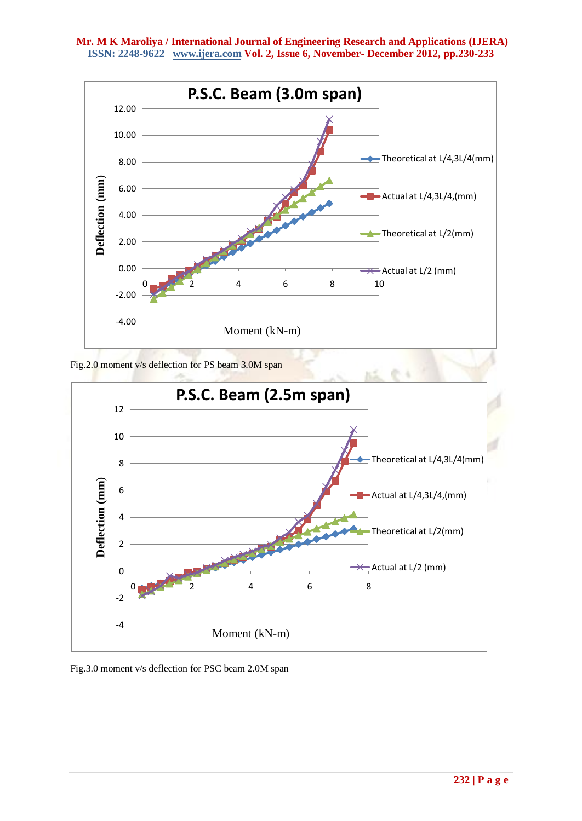

Fig.2.0 moment v/s deflection for PS beam 3.0M span



Fig.3.0 moment v/s deflection for PSC beam 2.0M span